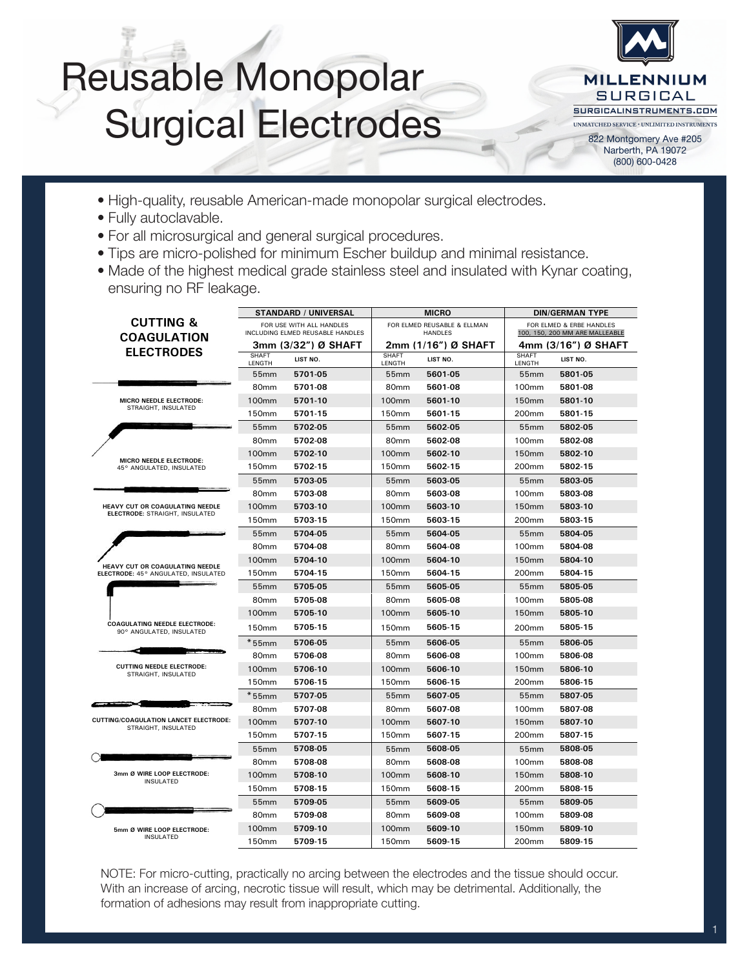### Reusable Monopolar Surgical Electrodes **ELMED = Sustainable Medical Industry:** *Quality, value priced reusable American*



(800) 600-0428

- High-quality, reusable American-made monopolar surgical electrodes. ELMED ELECTROSURGERY
- **•** Fully autoclavable.
- For all microsurgical and general surgical procedures.
- Tips are micro-polished for minimum Escher buildup and minimal resistance.
- Made of the highest medical grade stainless steel and insulated with Kynar coating, ensuring no RF leakage. **•** Made of the highest medical grade stainless steel and insulated with Kynar coating, **We use the highest medical grade stainless steel and insulate them with Kynar coating, ensuring that there is no RF-leakage.**

|                                                                        | <b>STANDARD / UNIVERSAL</b>                                  |                     | <b>MICRO</b>                                  |                     | <b>DIN/GERMAN TYPE</b>                                     |                     |  |
|------------------------------------------------------------------------|--------------------------------------------------------------|---------------------|-----------------------------------------------|---------------------|------------------------------------------------------------|---------------------|--|
| <b>CUTTING &amp;</b><br><b>COAGULATION</b>                             | FOR USE WITH ALL HANDLES<br>INCLUDING ELMED REUSABLE HANDLES |                     | FOR ELMED REUSABLE & ELLMAN<br><b>HANDLES</b> |                     | FOR ELMED & ERBE HANDLES<br>100, 150, 200 MM ARE MALLEABLE |                     |  |
| <b>ELECTRODES</b>                                                      |                                                              | 3mm (3/32") Ø SHAFT |                                               | 2mm (1/16") Ø SHAFT |                                                            | 4mm (3/16") Ø SHAFT |  |
|                                                                        | <b>SHAFT</b><br>LENGTH                                       | LIST NO.            | <b>SHAFT</b><br>LENGTH                        | LIST NO.            | <b>SHAFT</b><br>LENGTH                                     | LIST NO.            |  |
|                                                                        | 55mm                                                         | 5701-05             | 55 <sub>mm</sub>                              | 5601-05             | 55 <sub>mm</sub>                                           | 5801-05             |  |
|                                                                        | 80 <sub>mm</sub>                                             | 5701-08             | 80 <sub>mm</sub>                              | 5601-08             | 100 <sub>mm</sub>                                          | 5801-08             |  |
| MICRO NEEDLE ELECTRODE:<br>STRAIGHT, INSULATED                         | <b>100mm</b>                                                 | 5701-10             | 100 <sub>mm</sub>                             | 5601-10             | 150mm                                                      | 5801-10             |  |
|                                                                        | 150 <sub>mm</sub>                                            | 5701-15             | 150 <sub>mm</sub>                             | 5601-15             | 200 <sub>mm</sub>                                          | 5801-15             |  |
|                                                                        | 55mm                                                         | 5702-05             | 55mm                                          | 5602-05             | 55 <sub>mm</sub>                                           | 5802-05             |  |
|                                                                        | 80 <sub>mm</sub>                                             | 5702-08             | 80 <sub>mm</sub>                              | 5602-08             | 100 <sub>mm</sub>                                          | 5802-08             |  |
| MICRO NEEDLE ELECTRODE:                                                | 100mm                                                        | 5702-10             | 100 <sub>mm</sub>                             | 5602-10             | 150 <sub>mm</sub>                                          | 5802-10             |  |
| 45° ANGULATED, INSULATED                                               | 150 <sub>mm</sub>                                            | 5702-15             | 150 <sub>mm</sub>                             | 5602-15             | 200 <sub>mm</sub>                                          | 5802-15             |  |
|                                                                        | 55mm                                                         | 5703-05             | 55mm                                          | 5603-05             | 55 <sub>mm</sub>                                           | 5803-05             |  |
|                                                                        | 80 <sub>mm</sub>                                             | 5703-08             | 80 <sub>mm</sub>                              | 5603-08             | 100 <sub>mm</sub>                                          | 5803-08             |  |
| HEAVY CUT OR COAGULATING NEEDLE<br>ELECTRODE: STRAIGHT, INSULATED      | <b>100mm</b>                                                 | 5703-10             | 100mm                                         | 5603-10             | 150mm                                                      | 5803-10             |  |
|                                                                        | 150 <sub>mm</sub>                                            | 5703-15             | 150 <sub>mm</sub>                             | 5603-15             | 200 <sub>mm</sub>                                          | 5803-15             |  |
|                                                                        | 55mm                                                         | 5704-05             | 55mm                                          | 5604-05             | 55mm                                                       | 5804-05             |  |
|                                                                        | 80 <sub>mm</sub>                                             | 5704-08             | 80 <sub>mm</sub>                              | 5604-08             | 100 <sub>mm</sub>                                          | 5804-08             |  |
| HEAVY CUT OR COAGULATING NEEDLE<br>ELECTRODE: 45° ANGULATED, INSULATED | 100mm                                                        | 5704-10             | 100 <sub>mm</sub>                             | 5604-10             | 150 <sub>mm</sub>                                          | 5804-10             |  |
|                                                                        | 150 <sub>mm</sub>                                            | 5704-15             | 150 <sub>mm</sub>                             | 5604-15             | 200 <sub>mm</sub>                                          | 5804-15             |  |
|                                                                        | 55 <sub>mm</sub>                                             | 5705-05             | 55 <sub>mm</sub>                              | 5605-05             | 55 <sub>mm</sub>                                           | 5805-05             |  |
|                                                                        | 80mm                                                         | 5705-08             | 80 <sub>mm</sub>                              | 5605-08             | 100 <sub>mm</sub>                                          | 5805-08             |  |
|                                                                        | <b>100mm</b>                                                 | 5705-10             | <b>100mm</b>                                  | 5605-10             | 150mm                                                      | 5805-10             |  |
| <b>COAGULATING NEEDLE ELECTRODE:</b><br>90° ANGULATED, INSULATED       | 150 <sub>mm</sub>                                            | 5705-15             | 150 <sub>mm</sub>                             | 5605-15             | 200 <sub>mm</sub>                                          | 5805-15             |  |
|                                                                        | $*55$ mm                                                     | 5706-05             | 55 <sub>mm</sub>                              | 5606-05             | 55 <sub>mm</sub>                                           | 5806-05             |  |
|                                                                        | 80 <sub>mm</sub>                                             | 5706-08             | 80 <sub>mm</sub>                              | 5606-08             | 100 <sub>mm</sub>                                          | 5806-08             |  |
| <b>CUTTING NEEDLE ELECTRODE:</b><br>STRAIGHT, INSULATED                | <b>100mm</b>                                                 | 5706-10             | <b>100mm</b>                                  | 5606-10             | 150mm                                                      | 5806-10             |  |
|                                                                        | 150mm                                                        | 5706-15             | 150 <sub>mm</sub>                             | 5606-15             | 200 <sub>mm</sub>                                          | 5806-15             |  |
|                                                                        | $*55$ mm                                                     | 5707-05             | 55mm                                          | 5607-05             | 55mm                                                       | 5807-05             |  |
|                                                                        | 80 <sub>mm</sub>                                             | 5707-08             | 80 <sub>mm</sub>                              | 5607-08             | 100mm                                                      | 5807-08             |  |
| <b>CUTTING/COAGULATION LANCET ELECTRODE:</b><br>STRAIGHT, INSULATED    | <b>100mm</b>                                                 | 5707-10             | <b>100mm</b>                                  | 5607-10             | 150 <sub>mm</sub>                                          | 5807-10             |  |
|                                                                        | 150 <sub>mm</sub>                                            | 5707-15             | 150 <sub>mm</sub>                             | 5607-15             | 200 <sub>mm</sub>                                          | 5807-15             |  |
|                                                                        | 55mm                                                         | 5708-05             | 55 <sub>mm</sub>                              | 5608-05             | 55 <sub>mm</sub>                                           | 5808-05             |  |
|                                                                        | 80mm                                                         | 5708-08             | 80 <sub>mm</sub>                              | 5608-08             | 100mm                                                      | 5808-08             |  |
| 3mm Ø WIRE LOOP ELECTRODE:<br><b>INSULATED</b>                         | <b>100mm</b>                                                 | 5708-10             | <b>100mm</b>                                  | 5608-10             | 150mm                                                      | 5808-10             |  |
|                                                                        | 150mm                                                        | 5708-15             | 150mm                                         | 5608-15             | 200 <sub>mm</sub>                                          | 5808-15             |  |
|                                                                        | 55mm                                                         | 5709-05             | 55mm                                          | 5609-05             | 55mm                                                       | 5809-05             |  |
|                                                                        | 80mm                                                         | 5709-08             | 80mm                                          | 5609-08             | 100mm                                                      | 5809-08             |  |
| 5mm Ø WIRE LOOP ELECTRODE:                                             | 100 <sub>mm</sub>                                            | 5709-10             | 100 <sub>mm</sub>                             | 5609-10             | 150 <sub>mm</sub>                                          | 5809-10             |  |
| <b>INSULATED</b>                                                       | 150mm                                                        | 5709-15             | 150mm                                         | 5609-15             | 200mm                                                      | 5809-15             |  |

NOTE: For micro-cutting, practically no arcing between the electrodes and the tissue should occur. With an increase of arcing, necrotic tissue will result, which may be detrimental. Additionally, the formation of adhesions may result from inappropriate cutting.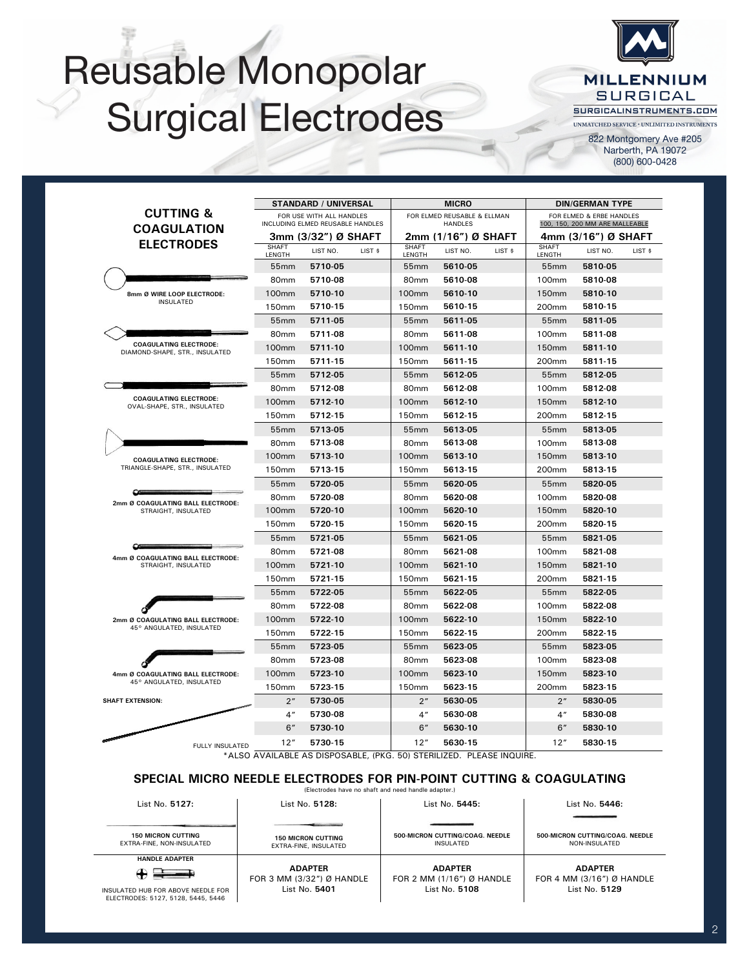# Reusable Monopolar Surgical Electrodes



822 Montgomery Ave #205 Narberth, PA 19072 (800) 600-0428

|                                                                 |                                                              | <b>STANDARD / UNIVERSAL</b> |                                               |                        | <b>MICRO</b>                                               |         |                        | <b>DIN/GERMAN TYPE</b> |         |
|-----------------------------------------------------------------|--------------------------------------------------------------|-----------------------------|-----------------------------------------------|------------------------|------------------------------------------------------------|---------|------------------------|------------------------|---------|
| <b>CUTTING &amp;</b><br><b>COAGULATION</b>                      | FOR USE WITH ALL HANDLES<br>INCLUDING ELMED REUSABLE HANDLES |                             | FOR ELMED REUSABLE & ELLMAN<br><b>HANDLES</b> |                        | FOR ELMED & ERBE HANDLES<br>100, 150, 200 MM ARE MALLEABLE |         |                        |                        |         |
|                                                                 |                                                              | 3mm (3/32") Ø SHAFT         |                                               | 2mm (1/16″) Ø SHAFT    |                                                            |         | 4mm (3/16") Ø SHAFT    |                        |         |
| <b>ELECTRODES</b>                                               | <b>SHAFT</b><br>LENGTH                                       | LIST NO.                    | LIST \$                                       | <b>SHAFT</b><br>LENGTH | LIST NO.                                                   | LIST \$ | <b>SHAFT</b><br>LENGTH | LIST NO.               | LIST \$ |
|                                                                 | 55 <sub>mm</sub>                                             | 5710-05                     |                                               | 55 <sub>mm</sub>       | 5610-05                                                    |         | 55 <sub>mm</sub>       | 5810-05                |         |
|                                                                 | 80 <sub>mm</sub>                                             | 5710-08                     |                                               | 80 <sub>mm</sub>       | 5610-08                                                    |         | 100mm                  | 5810-08                |         |
| 8mm Ø WIRE LOOP ELECTRODE:                                      | 100 <sub>mm</sub>                                            | 5710-10                     |                                               | 100 <sub>mm</sub>      | 5610-10                                                    |         | 150 <sub>mm</sub>      | 5810-10                |         |
| <b>INSULATED</b>                                                | 150 <sub>mm</sub>                                            | 5710-15                     |                                               | 150mm                  | 5610-15                                                    |         | 200 <sub>mm</sub>      | 5810-15                |         |
|                                                                 | 55 <sub>mm</sub>                                             | 5711-05                     |                                               | 55 <sub>mm</sub>       | 5611-05                                                    |         | 55 <sub>mm</sub>       | 5811-05                |         |
|                                                                 | 80 <sub>mm</sub>                                             | 5711-08                     |                                               | 80 <sub>mm</sub>       | 5611-08                                                    |         | 100 <sub>mm</sub>      | 5811-08                |         |
| <b>COAGULATING ELECTRODE:</b><br>DIAMOND-SHAPE, STR., INSULATED | 100 <sub>mm</sub>                                            | 5711-10                     |                                               | 100 <sub>mm</sub>      | 5611-10                                                    |         | 150 <sub>mm</sub>      | 5811-10                |         |
|                                                                 | 150 <sub>mm</sub>                                            | 5711-15                     |                                               | 150mm                  | 5611-15                                                    |         | 200 <sub>mm</sub>      | 5811-15                |         |
|                                                                 | 55 <sub>mm</sub>                                             | 5712-05                     |                                               | 55 <sub>mm</sub>       | 5612-05                                                    |         | 55 <sub>mm</sub>       | 5812-05                |         |
|                                                                 | 80 <sub>mm</sub>                                             | 5712-08                     |                                               | 80 <sub>mm</sub>       | 5612-08                                                    |         | 100mm                  | 5812-08                |         |
| <b>COAGULATING ELECTRODE:</b><br>OVAL-SHAPE, STR., INSULATED    | 100 <sub>mm</sub>                                            | 5712-10                     |                                               | 100 <sub>mm</sub>      | 5612-10                                                    |         | 150 <sub>mm</sub>      | 5812-10                |         |
|                                                                 | 150mm                                                        | 5712-15                     |                                               | 150mm                  | 5612-15                                                    |         | 200 <sub>mm</sub>      | 5812-15                |         |
|                                                                 | 55 <sub>mm</sub>                                             | 5713-05                     |                                               | 55 <sub>mm</sub>       | 5613-05                                                    |         | 55 <sub>mm</sub>       | 5813-05                |         |
|                                                                 | 80mm                                                         | 5713-08                     |                                               | 80mm                   | 5613-08                                                    |         | 100mm                  | 5813-08                |         |
| <b>COAGULATING ELECTRODE:</b>                                   | <b>100mm</b>                                                 | 5713-10                     |                                               | 100 <sub>mm</sub>      | 5613-10                                                    |         | 150 <sub>mm</sub>      | 5813-10                |         |
| TRIANGLE-SHAPE, STR., INSULATED                                 | 150 <sub>mm</sub>                                            | 5713-15                     |                                               | 150mm                  | 5613-15                                                    |         | 200 <sub>mm</sub>      | 5813-15                |         |
|                                                                 | 55mm                                                         | 5720-05                     |                                               | 55 <sub>mm</sub>       | 5620-05                                                    |         | 55mm                   | 5820-05                |         |
| 2mm Ø COAGULATING BALL ELECTRODE:                               | 80mm                                                         | 5720-08                     |                                               | 80mm                   | 5620-08                                                    |         | 100mm                  | 5820-08                |         |
| STRAIGHT, INSULATED                                             | 100 <sub>mm</sub>                                            | 5720-10                     |                                               | 100 <sub>mm</sub>      | 5620-10                                                    |         | 150 <sub>mm</sub>      | 5820-10                |         |
|                                                                 | 150mm                                                        | 5720-15                     |                                               | 150mm                  | 5620-15                                                    |         | 200 <sub>mm</sub>      | 5820-15                |         |
|                                                                 | 55mm                                                         | 5721-05                     |                                               | 55 <sub>mm</sub>       | 5621-05                                                    |         | 55mm                   | 5821-05                |         |
| ≃<br>4mm Ø COAGULATING BALL ELECTRODE:                          | 80mm                                                         | 5721-08                     |                                               | 80 <sub>mm</sub>       | 5621-08                                                    |         | 100mm                  | 5821-08                |         |
| STRAIGHT, INSULATED                                             | <b>100mm</b>                                                 | 5721-10                     |                                               | 100 <sub>mm</sub>      | 5621-10                                                    |         | 150 <sub>mm</sub>      | 5821-10                |         |
|                                                                 | 150mm                                                        | 5721-15                     |                                               | 150mm                  | 5621-15                                                    |         | 200 <sub>mm</sub>      | 5821-15                |         |
|                                                                 | 55 <sub>mm</sub>                                             | 5722-05                     |                                               | 55 <sub>mm</sub>       | 5622-05                                                    |         | 55 <sub>mm</sub>       | 5822-05                |         |
|                                                                 | 80mm                                                         | 5722-08                     |                                               | 80mm                   | 5622-08                                                    |         | 100mm                  | 5822-08                |         |
| 2mm Ø COAGULATING BALL ELECTRODE:                               | 100 <sub>mm</sub>                                            | 5722-10                     |                                               | 100 <sub>mm</sub>      | 5622-10                                                    |         | 150 <sub>mm</sub>      | 5822-10                |         |
| 45° ANGULATED, INSULATED                                        | 150 <sub>mm</sub>                                            | 5722-15                     |                                               | 150mm                  | 5622-15                                                    |         | 200 <sub>mm</sub>      | 5822-15                |         |
|                                                                 | 55 <sub>mm</sub>                                             | 5723-05                     |                                               | 55 <sub>mm</sub>       | 5623-05                                                    |         | 55 <sub>mm</sub>       | 5823-05                |         |
|                                                                 | 80 <sub>mm</sub>                                             | 5723-08                     |                                               | 80 <sub>mm</sub>       | 5623-08                                                    |         | 100 <sub>mm</sub>      | 5823-08                |         |
| 4mm Ø COAGULATING BALL ELECTRODE:                               | <b>100mm</b>                                                 | 5723-10                     |                                               | 100 <sub>mm</sub>      | 5623-10                                                    |         | 150 <sub>mm</sub>      | 5823-10                |         |
| 45° ANGULATED, INSULATED                                        | 150 <sub>mm</sub>                                            | 5723-15                     |                                               | 150mm                  | 5623-15                                                    |         | 200 <sub>mm</sub>      | 5823-15                |         |
| <b>SHAFT EXTENSION:</b>                                         | 2 <sup>n</sup>                                               | 5730-05                     |                                               | 2 <sup>n</sup>         | 5630-05                                                    |         | 2 <sup>n</sup>         | 5830-05                |         |
|                                                                 | 4 <sup>''</sup>                                              | 5730-08                     |                                               | 4 <sup>''</sup>        | 5630-08                                                    |         | 4 <sup>''</sup>        | 5830-08                |         |
|                                                                 | 6"                                                           | 5730-10                     |                                               | 6''                    | 5630-10                                                    |         | 6"                     | 5830-10                |         |
| <b>FULLY INSULATED</b>                                          | 12"                                                          | 5730-15                     |                                               | 12"                    | 5630-15                                                    |         | 12"                    | 5830-15                |         |

**ELMED REUSABLE MONOPOLAR SURGICAL ELECTRODES**

\*ALSO AVAILABLE AS DISPOSABLE, (PKG. 50) STERILIZED. PLEASE INQUIRE.

#### **SPECIAL MICRO NEEDLE ELECTRODES FOR PIN-POINT CUTTING & COAGULATING**

(Electrodes have no shaft and need handle adapter.)

| List No. 5127:                                                           | List No. 5128:                                     | List No. 5445:                                      | List No. 5446:                                   |
|--------------------------------------------------------------------------|----------------------------------------------------|-----------------------------------------------------|--------------------------------------------------|
|                                                                          |                                                    |                                                     |                                                  |
| <b>150 MICRON CUTTING</b><br>EXTRA-FINE, NON-INSULATED                   | <b>150 MICRON CUTTING</b><br>EXTRA-FINE, INSULATED | <b>500-MICRON CUTTING/COAG, NEEDLE</b><br>INSULATED | 500-MICRON CUTTING/COAG, NEEDLE<br>NON-INSULATED |
| <b>HANDLE ADAPTER</b>                                                    |                                                    |                                                     |                                                  |
| $\leftrightarrow$ $\rightarrow$ $\rightarrow$                            | <b>ADAPTER</b><br>FOR 3 MM (3/32") Ø HANDLE        | <b>ADAPTER</b><br>FOR 2 MM $(1/16")$ Ø HANDLE       | <b>ADAPTER</b><br>FOR 4 MM $(3/16")$ Ø HANDLE    |
| INSULATED HUB FOR ABOVE NEEDLE FOR<br>ELECTRODES: 5127, 5128, 5445, 5446 | List No. 5401                                      | List No. 5108                                       | List No. 5129                                    |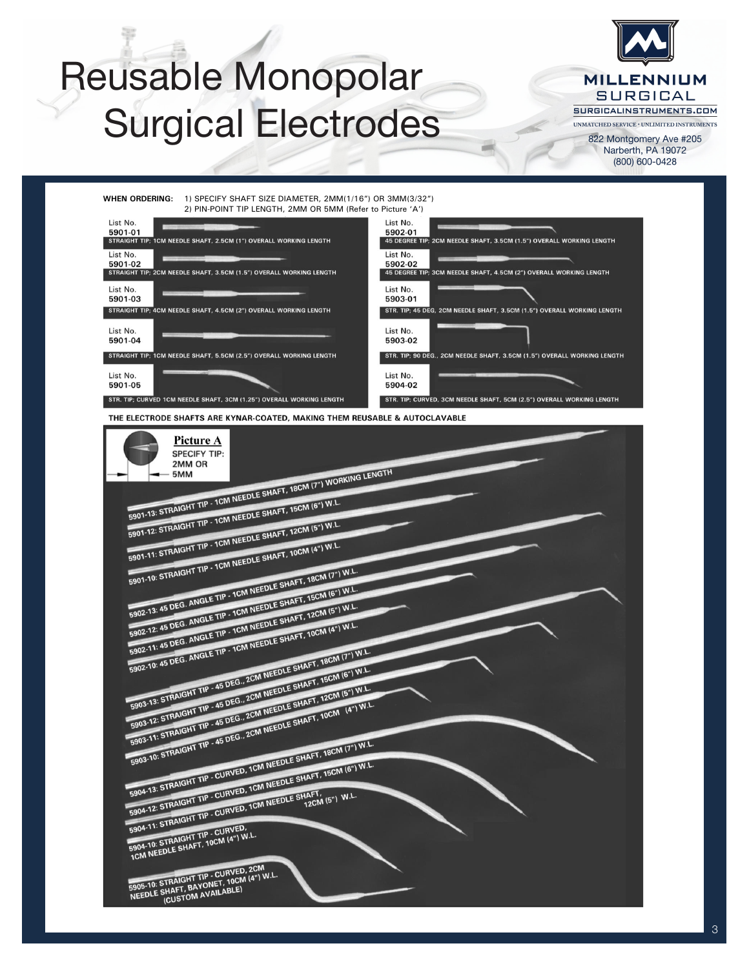# Reusable Monopolar Surgical Electrodes



822 Montgomery Ave #205 Narberth, PA 19072 (800) 600-0428



**ELMED REUSABLE PIN-POINT™ MICRO TIP ELECTRODES**